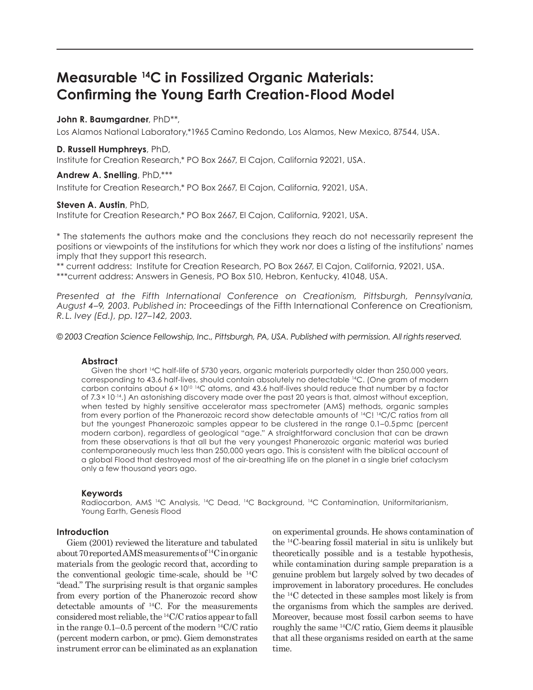# **Measurable 14C in Fossilized Organic Materials: Confirming the Young Earth Creation-Flood Model**

# **John R. Baumgardner**, PhD\*\*,

Los Alamos National Laboratory,\*1965 Camino Redondo, Los Alamos, New Mexico, 87544, USA.

## **D. Russell Humphreys**, PhD,

Institute for Creation Research,\* PO Box 2667, El Cajon, California 92021, USA.

# **Andrew A. Snelling**, PhD,\*\*\*

Institute for Creation Research,\* PO Box 2667, El Cajon, California, 92021, USA.

## **Steven A. Austin**, PhD,

Institute for Creation Research,\* PO Box 2667, El Cajon, California, 92021, USA.

\* The statements the authors make and the conclusions they reach do not necessarily represent the positions or viewpoints of the institutions for which they work nor does a listing of the institutions' names imply that they support this research.

\*\* current address: Institute for Creation Research, PO Box 2667, El Cajon, California, 92021, USA. \*\*\*current address: Answers in Genesis, PO Box 510, Hebron, Kentucky, 41048, USA.

*Presented at the Fifth International Conference on Creationism, Pittsburgh, Pennsylvania, August 4–9, 2003. Published in:* Proceedings of the Fifth International Conference on Creationism*, R. L. Ivey (Ed.), pp. 127–142, 2003.*

*© 2003 Creation Science Fellowship, Inc., Pittsburgh, PA, USA. Published with permission. All rights reserved.*

## **Abstract**

Given the short 14C half-life of 5730 years, organic materials purportedly older than 250,000 years, corresponding to 43.6 half-lives, should contain absolutely no detectable 14C. (One gram of modern carbon contains about  $6 \times 10^{10}$  <sup>14</sup>C atoms, and 43.6 half-lives should reduce that number by a factor of 7.3 × 10-14.) An astonishing discovery made over the past 20 years is that, almost without exception, when tested by highly sensitive accelerator mass spectrometer (AMS) methods, organic samples from every portion of the Phanerozoic record show detectable amounts of <sup>14</sup>C! <sup>14</sup>C/C ratios from all but the youngest Phanerozoic samples appear to be clustered in the range 0.1–0.5 pmc (percent modern carbon), regardless of geological "age." A straightforward conclusion that can be drawn from these observations is that all but the very youngest Phanerozoic organic material was buried contemporaneously much less than 250,000 years ago. This is consistent with the biblical account of a global Flood that destroyed most of the air-breathing life on the planet in a single brief cataclysm only a few thousand years ago.

#### **Keywords**

Radiocarbon, AMS 14C Analysis, 14C Dead, 14C Background, 14C Contamination, Uniformitarianism, Young Earth, Genesis Flood

# **Introduction**

Giem (2001) reviewed the literature and tabulated about 70 reported AMS measurements of 14C in organic materials from the geologic record that, according to the conventional geologic time-scale, should be 14C "dead." The surprising result is that organic samples from every portion of the Phanerozoic record show detectable amounts of 14C. For the measurements considered most reliable, the 14C/C ratios appear to fall in the range  $0.1-0.5$  percent of the modern  $^{14}$ C/C ratio (percent modern carbon, or pmc). Giem demonstrates instrument error can be eliminated as an explanation on experimental grounds. He shows contamination of the 14C-bearing fossil material in situ is unlikely but theoretically possible and is a testable hypothesis, while contamination during sample preparation is a genuine problem but largely solved by two decades of improvement in laboratory procedures. He concludes the 14C detected in these samples most likely is from the organisms from which the samples are derived. Moreover, because most fossil carbon seems to have roughly the same 14C/C ratio, Giem deems it plausible that all these organisms resided on earth at the same time.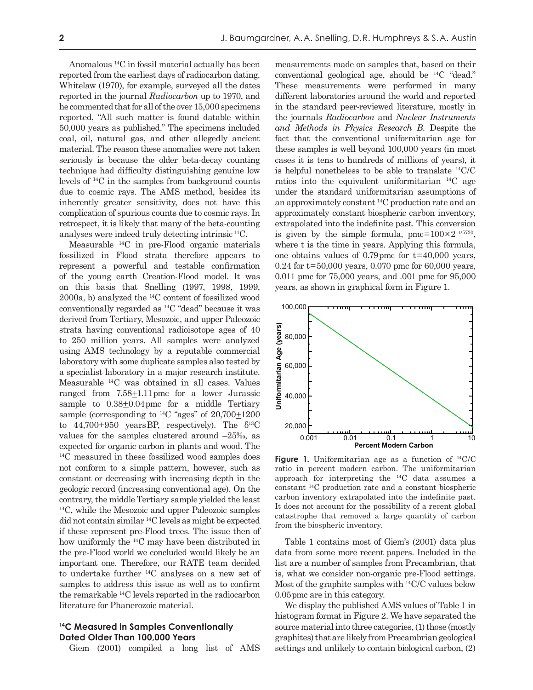Anomalous 14C in fossil material actually has been reported from the earliest days of radiocarbon dating. Whitelaw (1970), for example, surveyed all the dates reported in the journal *Radiocarbon* up to 1970, and he commented that for all of the over 15,000 specimens reported, "All such matter is found datable within 50,000 years as published." The specimens included coal, oil, natural gas, and other allegedly ancient material. The reason these anomalies were not taken seriously is because the older beta-decay counting technique had difficulty distinguishing genuine low levels of 14C in the samples from background counts due to cosmic rays. The AMS method, besides its inherently greater sensitivity, does not have this complication of spurious counts due to cosmic rays. In retrospect, it is likely that many of the beta-counting analyses were indeed truly detecting intrinsic 14C.

Measurable 14C in pre-Flood organic materials fossilized in Flood strata therefore appears to represent a powerful and testable confirmation of the young earth Creation-Flood model. It was on this basis that Snelling (1997, 1998, 1999, 2000a, b) analyzed the 14C content of fossilized wood conventionally regarded as 14C "dead" because it was derived from Tertiary, Mesozoic, and upper Paleozoic strata having conventional radioisotope ages of 40 to 250 million years. All samples were analyzed using AMS technology by a reputable commercial laboratory with some duplicate samples also tested by a specialist laboratory in a major research institute. Measurable 14C was obtained in all cases. Values ranged from  $7.58 \pm 1.11$  pmc for a lower Jurassic sample to  $0.38 \pm 0.04$  pmc for a middle Tertiary sample (corresponding to  $^{14}$ C "ages" of  $20,700\pm1200$ to  $44,700+950$  years BP, respectively). The  $\delta^{13}$ C values for the samples clustered around –25‰, as expected for organic carbon in plants and wood. The 14C measured in these fossilized wood samples does not conform to a simple pattern, however, such as constant or decreasing with increasing depth in the geologic record (increasing conventional age). On the contrary, the middle Tertiary sample yielded the least 14C, while the Mesozoic and upper Paleozoic samples did not contain similar 14C levels as might be expected if these represent pre-Flood trees. The issue then of how uniformly the 14C may have been distributed in the pre-Flood world we concluded would likely be an important one. Therefore, our RATE team decided to undertake further 14C analyses on a new set of samples to address this issue as well as to confirm the remarkable 14C levels reported in the radiocarbon literature for Phanerozoic material.

# **14C Measured in Samples Conventionally Dated Older Than 100,000 Years**

Giem (2001) compiled a long list of AMS

measurements made on samples that, based on their conventional geological age, should be 14C "dead." These measurements were performed in many different laboratories around the world and reported in the standard peer-reviewed literature, mostly in the journals *Radiocarbon* and *Nuclear Instruments and Methods in Physics Research B*. Despite the fact that the conventional uniformitarian age for these samples is well beyond 100,000 years (in most cases it is tens to hundreds of millions of years), it is helpful nonetheless to be able to translate 14C/C ratios into the equivalent uniformitarian 14C age under the standard uniformitarian assumptions of an approximately constant 14C production rate and an approximately constant biospheric carbon inventory, extrapolated into the indefinite past. This conversion is given by the simple formula,  $pmc = 100 \times 2^{-t/5730}$ , where t is the time in years. Applying this formula, one obtains values of  $0.79$  pmc for  $t = 40,000$  years,  $0.24$  for  $t = 50,000$  years, 0.070 pmc for 60,000 years, 0.011 pmc for 75,000 years, and .001 pmc for 95,000 years, as shown in graphical form in Figure 1.



Figure 1. Uniformitarian age as a function of <sup>14</sup>C/C ratio in percent modern carbon. The uniformitarian approach for interpreting the 14C data assumes a constant 14C production rate and a constant biospheric carbon inventory extrapolated into the indefinite past. It does not account for the possibility of a recent global catastrophe that removed a large quantity of carbon from the biospheric inventory.

Table 1 contains most of Giem's (2001) data plus data from some more recent papers. Included in the list are a number of samples from Precambrian, that is, what we consider non-organic pre-Flood settings. Most of the graphite samples with 14C/C values below 0.05 pmc are in this category.

We display the published AMS values of Table 1 in histogram format in Figure 2. We have separated the source material into three categories, (1) those (mostly graphites) that are likely from Precambrian geological settings and unlikely to contain biological carbon, (2)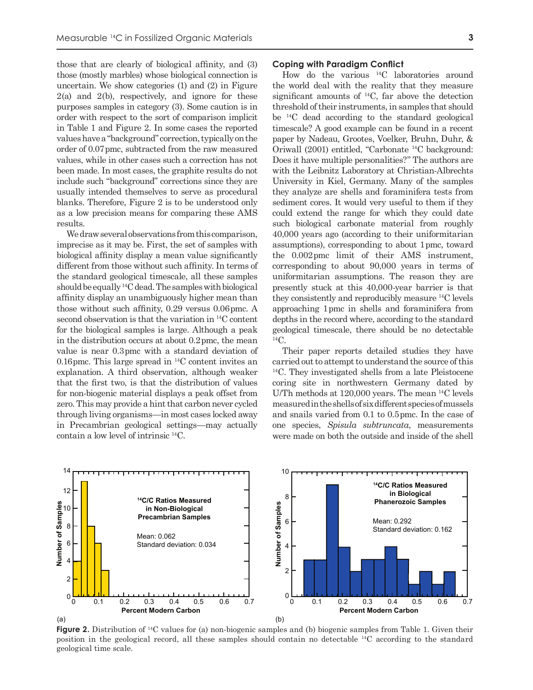those that are clearly of biological affinity, and (3) those (mostly marbles) whose biological connection is uncertain. We show categories (1) and (2) in Figure  $2(a)$  and  $2(b)$ , respectively, and ignore for these purposes samples in category (3). Some caution is in order with respect to the sort of comparison implicit in Table 1 and Figure 2. In some cases the reported values have a "background" correction, typically on the order of 0.07 pmc, subtracted from the raw measured values, while in other cases such a correction has not been made. In most cases, the graphite results do not include such "background" corrections since they are usually intended themselves to serve as procedural blanks. Therefore, Figure 2 is to be understood only as a low precision means for comparing these AMS results.

We draw several observations from this comparison, imprecise as it may be. First, the set of samples with biological affinity display a mean value significantly different from those without such affinity. In terms of the standard geological timescale, all these samples should be equally 14C dead. The samples with biological affinity display an unambiguously higher mean than those without such affinity, 0.29 versus 0.06 pmc. A second observation is that the variation in 14C content for the biological samples is large. Although a peak in the distribution occurs at about 0.2 pmc, the mean value is near 0.3 pmc with a standard deviation of 0.16 pmc. This large spread in  $^{14}$ C content invites an explanation. A third observation, although weaker that the first two, is that the distribution of values for non-biogenic material displays a peak offset from zero. This may provide a hint that carbon never cycled through living organisms—in most cases locked away in Precambrian geological settings—may actually contain a low level of intrinsic 14C.

#### **Coping with Paradigm Conflict**

How do the various 14C laboratories around the world deal with the reality that they measure significant amounts of 14C, far above the detection threshold of their instruments, in samples that should be 14C dead according to the standard geological timescale? A good example can be found in a recent paper by Nadeau*,* Grootes, Voelker, Bruhn, Duhr, & Oriwall (2001) entitled, "Carbonate 14C background: Does it have multiple personalities?" The authors are with the Leibnitz Laboratory at Christian-Albrechts University in Kiel, Germany. Many of the samples they analyze are shells and foraminifera tests from sediment cores. It would very useful to them if they could extend the range for which they could date such biological carbonate material from roughly 40,000 years ago (according to their uniformitarian assumptions), corresponding to about 1 pmc, toward the 0.002 pmc limit of their AMS instrument, corresponding to about 90,000 years in terms of uniformitarian assumptions. The reason they are presently stuck at this 40,000-year barrier is that they consistently and reproducibly measure 14C levels approaching 1 pmc in shells and foraminifera from depths in the record where, according to the standard geological timescale, there should be no detectable  $^{14}C$ .

Their paper reports detailed studies they have carried out to attempt to understand the source of this 14C. They investigated shells from a late Pleistocene coring site in northwestern Germany dated by U/Th methods at 120,000 years. The mean 14C levels measured in the shells of six different species of mussels and snails varied from 0.1 to 0.5 pmc. In the case of one species, *Spisula subtruncata*, measurements were made on both the outside and inside of the shell



**Figure 2.** Distribution of <sup>14</sup>C values for (a) non-biogenic samples and (b) biogenic samples from Table 1. Given their position in the geological record, all these samples should contain no detectable 14C according to the standard geological time scale.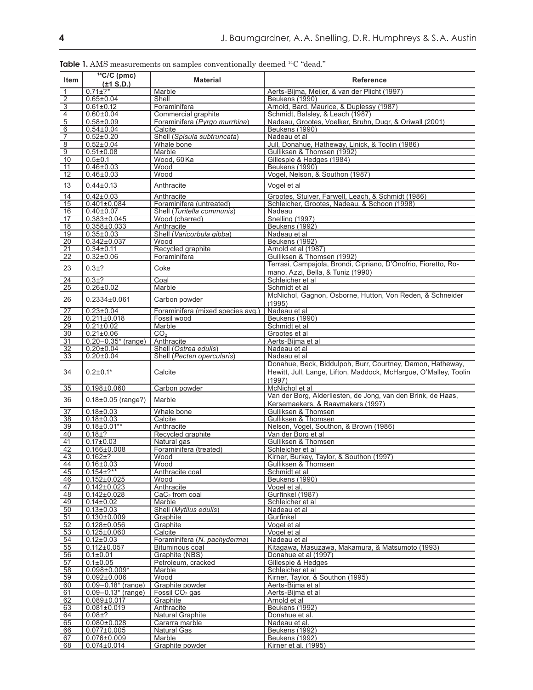| <b>Item</b>                                        | $14$ C/C (pmc)<br>$(\pm 1 S.D.)$       | <b>Material</b>                   | <b>Reference</b>                                                                                                                         |
|----------------------------------------------------|----------------------------------------|-----------------------------------|------------------------------------------------------------------------------------------------------------------------------------------|
| $\overline{1}$                                     | $0.71 \pm ?$ *                         | Marble                            | Aerts-Bijma, Meijer, & van der Plicht (1997)                                                                                             |
|                                                    | $0.65 \pm 0.04$                        | Shell                             | Beukens (1990)                                                                                                                           |
|                                                    | $0.61 \pm 0.12$                        | Foraminifera                      | Arnold, Bard, Maurice, & Duplessy (1987)                                                                                                 |
|                                                    | $0.60 \pm 0.04$                        | Commercial graphite               | Schmidt, Balsley, & Leach (1987)                                                                                                         |
| $\frac{2}{\sqrt{3}}\frac{1}{\sqrt{1-\frac{1}{2}}}$ | $0.58 \pm 0.09$                        | Foraminifera (Pyrgo murrhina)     | Nadeau, Grootes, Voelker, Bruhn, Dugr, & Oriwall (2001)                                                                                  |
|                                                    | $0.54 \pm 0.04$                        | Calcite                           | Beukens (1990)                                                                                                                           |
|                                                    | $0.52 \pm 0.20$                        | Shell (Spisula subtruncata)       | Nadeau et al                                                                                                                             |
|                                                    | $0.52 \pm 0.04$                        | Whale bone                        | Jull, Donahue, Hatheway, Linick, & Toolin (1986)                                                                                         |
| $\frac{8}{9}$                                      | $0.51 \pm 0.08$                        | Marble                            | Gulliksen & Thomsen (1992)                                                                                                               |
| 10                                                 | $0.5 \pm 0.1$                          | Wood, 60Ka                        | Gillespie & Hedges (1984)                                                                                                                |
| $\overline{11}$                                    | $0.46 \pm 0.03$                        | Wood                              | <b>Beukens (1990)</b>                                                                                                                    |
| 12                                                 | $0.46 \pm 0.03$                        | Wood                              | Vogel, Nelson, & Southon (1987)                                                                                                          |
| 13                                                 | $0.44 \pm 0.13$                        | Anthracite                        | Vogel et al                                                                                                                              |
| 14                                                 | $0.42 \pm 0.03$                        | Anthracite                        | Grootes, Stuiver, Farwell, Leach, & Schmidt (1986)                                                                                       |
| 15                                                 | $0.401 \pm 0.084$                      | Foraminifera (untreated)          | Schleicher, Grootes, Nadeau, & Schoon (1998)                                                                                             |
| 16                                                 | $0.40 \pm 0.07$                        | Shell (Turitella communis)        | Nadeau                                                                                                                                   |
| 17                                                 | $0.383 \pm 0.045$                      | Wood (charred)                    | Snelling (1997)                                                                                                                          |
| $\overline{18}$                                    | $0.358 \pm 0.033$                      | Anthracite                        | <b>Beukens (1992)</b>                                                                                                                    |
| 19                                                 | $0.35 \pm 0.03$                        | Shell (Varicorbula gibba)         | Nadeau et al                                                                                                                             |
| 20                                                 | $0.342 \pm 0.037$                      | Wood                              | <b>Beukens (1992)</b>                                                                                                                    |
| $\overline{21}$                                    | $0.34 \pm 0.11$                        | Recycled graphite                 | Arnold et al (1987)                                                                                                                      |
| $\overline{22}$                                    | $0.32 \pm 0.06$                        | Foraminifera                      | Gulliksen & Thomsen (1992)                                                                                                               |
| 23                                                 | $0.3 + ?$                              | Coke                              | Terrasi, Campajola, Brondi, Cipriano, D'Onofrio, Fioretto, Ro-                                                                           |
|                                                    |                                        |                                   | mano, Azzi, Bella, & Tuniz (1990)                                                                                                        |
| 24                                                 | $0.3 + ?$                              | Coal                              | Schleicher et al                                                                                                                         |
| 25                                                 | $0.26 \pm 0.02$                        | Marble                            | Schmidt et al                                                                                                                            |
| 26                                                 | $0.2334\pm0.061$                       | Carbon powder                     | McNichol, Gagnon, Osborne, Hutton, Von Reden, & Schneider                                                                                |
|                                                    |                                        |                                   | (1995)                                                                                                                                   |
| $\overline{27}$                                    | $0.23 \pm 0.04$                        | Foraminifera (mixed species avg.) | Nadeau et al                                                                                                                             |
| 28                                                 | $0.211 \pm 0.018$                      | Fossil wood                       | Beukens (1990)                                                                                                                           |
| 29                                                 | $0.21 \pm 0.02$                        | Marble                            | Schmidt et al                                                                                                                            |
| 30                                                 | $0.21 \pm 0.06$                        | CO <sub>2</sub>                   | Grootes et al                                                                                                                            |
| $\overline{31}$                                    | $0.20 - 0.35*$ (range)                 | Anthracite                        | Aerts-Bijma et al                                                                                                                        |
| $\frac{32}{ }$                                     | $0.20 \pm 0.04$                        | Shell (Ostrea edulis)             | Nadeau et al                                                                                                                             |
| 33                                                 | $0.20 \pm 0.04$                        | Shell (Pecten opercularis)        | Nadeau et al                                                                                                                             |
| 34                                                 | $0.2 \pm 0.1*$                         | Calcite                           | Donahue, Beck, Biddulpoh, Burr, Courtney, Damon, Hatheway,<br>Hewitt, Jull, Lange, Lifton, Maddock, McHargue, O'Malley, Toolin<br>(1997) |
| 35                                                 | $0.198 + 0.060$                        | Carbon powder                     | McNichol et al                                                                                                                           |
| 36                                                 | $0.18 \pm 0.05$ (range?)               | Marble                            | Van der Borg, Alderliesten, de Jong, van den Brink, de Haas,<br>Kersemaekers, & Raaymakers (1997)                                        |
| $\overline{37}$                                    | $0.18 \pm 0.03$                        | Whale bone                        | Gulliksen & Thomsen                                                                                                                      |
| 38                                                 | $0.18 \pm 0.03$                        | Calcite                           | Gulliksen & Thomsen                                                                                                                      |
| 39                                                 | $0.18\pm0.01**$                        | Anthracite                        | Nelson, Vogel, Southon, & Brown (1986)                                                                                                   |
| 40                                                 | $0.18 + ?$                             | Recycled graphite                 | Van der Borg et al                                                                                                                       |
| 41                                                 | $0.17 \pm 0.03$                        | Natural gas                       | Gulliksen & Thomsen                                                                                                                      |
| 42                                                 | $0.166 \pm 0.008$                      | Foraminifera (treated)            | Schleicher et al                                                                                                                         |
| 43                                                 | $0.162 + ?$                            | Wood                              | Kirner, Burkey, Taylor, & Southon (1997)                                                                                                 |
| 44                                                 | $0.16 \pm 0.03$                        | Wood                              | Gulliksen & Thomsen                                                                                                                      |
| 45                                                 | $0.154 \pm ?$ **                       | Anthracite coal                   | Schmidt et al                                                                                                                            |
| 46                                                 | $0.152 \pm 0.025$                      | Wood                              | <b>Beukens (1990)</b>                                                                                                                    |
| 47                                                 | $0.142 \pm 0.023$                      | Anthracite                        | Vogel et al.                                                                                                                             |
| 48                                                 | $0.142 \pm 0.028$                      | $CaC2$ from coal                  | Gurfinkel (1987)                                                                                                                         |
| 49                                                 | $0.14 \pm 0.02$                        | Marble                            | Schleicher et al                                                                                                                         |
| 50                                                 | $0.13 \pm 0.03$                        | Shell (Mytilus edulis)            | Nadeau et al                                                                                                                             |
| 51                                                 | $0.130 \pm 0.009$                      | Graphite                          | Gurfinkel                                                                                                                                |
| 52                                                 | $0.128 \pm 0.056$                      | Graphite                          | Vogel et al                                                                                                                              |
| 53                                                 | $0.125 \pm 0.060$                      | Calcite                           | Vogel et al                                                                                                                              |
| 54                                                 | $0.12 \pm 0.03$                        | Foraminifera (N. pachyderma)      | Nadeau et al                                                                                                                             |
| 55                                                 | $0.112 \pm 0.057$                      | Bituminous coal                   | Kitagawa, Masuzawa, Makamura, & Matsumoto (1993)                                                                                         |
| 56                                                 | $0.1 \pm 0.01$                         | Graphite (NBS)                    | Donahue et al (1997)                                                                                                                     |
| 57                                                 | $0.1 \pm 0.05$                         | Petroleum, cracked                | Gillespie & Hedges                                                                                                                       |
| $\overline{58}$                                    | $0.098 \pm 0.009*$                     | Marble                            | Schleicher et al                                                                                                                         |
| 59                                                 | $0.092 \pm 0.006$                      | Wood                              | Kirner, Taylor, & Southon (1995)                                                                                                         |
| 60                                                 | $0.09 - 0.18*$ (range)                 | Graphite powder                   | Aerts-Bijma et al                                                                                                                        |
| 61                                                 | $0.09 - 0.13*$ (range)                 | Fossil CO <sub>2</sub> gas        | Aerts-Bijma et al                                                                                                                        |
| 62                                                 | $0.089 \pm 0.017$<br>$0.081 \pm 0.019$ | Graphite<br>Anthracite            | Arnold et al<br>Beukens (1992)                                                                                                           |
| 63<br>64                                           | $0.08 + ?$                             | Natural Graphite                  | Donahue et al.                                                                                                                           |
| 65                                                 | $0.080 \pm 0.028$                      | Cararra marble                    | Nadeau et al.                                                                                                                            |
| 66                                                 | $0.077 \pm 0.005$                      | <b>Natural Gas</b>                | <b>Beukens (1992)</b>                                                                                                                    |
| 67                                                 | $0.076 \pm 0.009$                      | Marble                            | Beukens (1992)                                                                                                                           |
| 68                                                 | $0.074 \pm 0.014$                      | Graphite powder                   | Kirner et al. (1995)                                                                                                                     |

Table 1. AMS measurements on samples conventionally deemed <sup>14</sup>C "dead."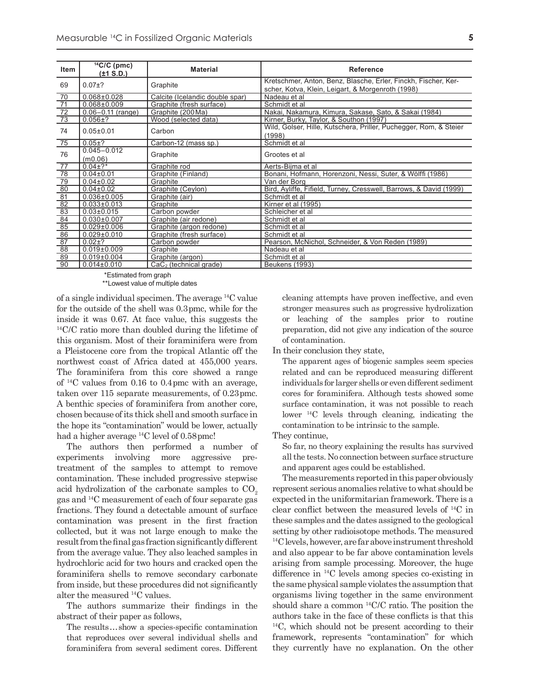| <b>Item</b>                                                                                                 | $14$ C/C (pmc)<br>(±1 S.D.) | <b>Material</b>                 | <b>Reference</b>                                                                                                    |
|-------------------------------------------------------------------------------------------------------------|-----------------------------|---------------------------------|---------------------------------------------------------------------------------------------------------------------|
| 69                                                                                                          | $0.07 + ?$                  | Graphite                        | Kretschmer, Anton, Benz, Blasche, Erler, Finckh, Fischer, Ker-<br>scher, Kotva, Klein, Leigart, & Morgenroth (1998) |
| 70                                                                                                          | $0.068 \pm 0.028$           | Calcite (Icelandic double spar) | Nadeau et al                                                                                                        |
| $\overline{71}$                                                                                             | $0.068 \pm 0.009$           | Graphite (fresh surface)        | Schmidt et al                                                                                                       |
| $\frac{1}{72}$                                                                                              | $0.06 - 0.11$ (range)       | Graphite (200 Ma)               | Nakai, Nakamura, Kimura, Sakase, Sato, & Sakai (1984)                                                               |
| $\overline{73}$                                                                                             | $0.056 \pm ?$               | Wood (selected data)            | Kirner, Burky, Taylor, & Southon (1997)                                                                             |
| 74                                                                                                          | $0.05 \pm 0.01$             | Carbon                          | Wild, Golser, Hille, Kutschera, Priller, Puchegger, Rom, & Steier<br>(1998)                                         |
| $\overline{75}$                                                                                             | $0.05 \pm ?$                | Carbon-12 (mass sp.)            | Schmidt et al                                                                                                       |
| 76                                                                                                          | $0.045 - 0.012$<br>(m0.06)  | Graphite                        | Grootes et al                                                                                                       |
| 77                                                                                                          | $0.04 \pm 2^{*}$            | Graphite rod                    | Aerts-Bijma et al                                                                                                   |
| 78                                                                                                          | $0.04 \pm 0.01$             | Graphite (Finland)              | Bonani, Hofmann, Horenzoni, Nessi, Suter, & Wölffi (1986)                                                           |
| $\overline{79}$                                                                                             | $0.04 \pm 0.02$             | Graphite                        | Van der Borg                                                                                                        |
| $\begin{array}{r}\n 80 \\ \hline\n 81 \\ \hline\n 82 \\ \hline\n 83 \\ \hline\n 84 \\ \hline\n \end{array}$ | $0.04 \pm 0.02$             | Graphite (Ceylon)               | Bird, Ayliffe, Fifield, Turney, Cresswell, Barrows, & David (1999)                                                  |
|                                                                                                             | $0.036 \pm 0.005$           | Graphite (air)                  | Schmidt et al                                                                                                       |
|                                                                                                             | $0.033 \pm 0.013$           | Graphite                        | Kirner et al (1995)                                                                                                 |
|                                                                                                             | $0.03 \pm 0.015$            | Carbon powder                   | Schleicher et al                                                                                                    |
|                                                                                                             | $0.030 \pm 0.007$           | Graphite (air redone)           | Schmidt et al                                                                                                       |
| 85                                                                                                          | $0.029 \pm 0.006$           | Graphite (argon redone)         | Schmidt et al                                                                                                       |
|                                                                                                             | $0.029 \pm 0.010$           | Graphite (fresh surface)        | Schmidt et al                                                                                                       |
| $\frac{86}{87}$                                                                                             | $0.02 \pm ?$                | Carbon powder                   | Pearson, McNichol, Schneider, & Von Reden (1989)                                                                    |
| $\begin{array}{r}\n 88 \\ \hline\n 89 \\ \hline\n 90\n \end{array}$                                         | $0.019 \pm 0.009$           | Graphite                        | Nadeau et al                                                                                                        |
|                                                                                                             | $0.019 \pm 0.004$           | Graphite (argon)                | Schmidt et al                                                                                                       |
|                                                                                                             | $0.014 \pm 0.010$           | $CaC2$ (technical grade)        | <b>Beukens (1993)</b>                                                                                               |

\*Estimated from graph

\*\*Lowest value of multiple dates

of a single individual specimen. The average 14C value for the outside of the shell was 0.3 pmc, while for the inside it was 0.67. At face value, this suggests the <sup>14</sup>C/C ratio more than doubled during the lifetime of this organism. Most of their foraminifera were from a Pleistocene core from the tropical Atlantic off the northwest coast of Africa dated at 455,000 years. The foraminifera from this core showed a range of 14C values from 0.16 to 0.4 pmc with an average, taken over 115 separate measurements, of 0.23 pmc. A benthic species of foraminifera from another core, chosen because of its thick shell and smooth surface in the hope its "contamination" would be lower, actually had a higher average <sup>14</sup>C level of 0.58 pmc!

The authors then performed a number of experiments involving more aggressive pretreatment of the samples to attempt to remove contamination. These included progressive stepwise acid hydrolization of the carbonate samples to  $CO<sub>o</sub>$ gas and 14C measurement of each of four separate gas fractions. They found a detectable amount of surface contamination was present in the first fraction collected, but it was not large enough to make the result from the final gas fraction significantly different from the average value. They also leached samples in hydrochloric acid for two hours and cracked open the foraminifera shells to remove secondary carbonate from inside, but these procedures did not significantly alter the measured 14C values.

The authors summarize their findings in the abstract of their paper as follows,

The results … show a species-specific contamination that reproduces over several individual shells and foraminifera from several sediment cores. Different cleaning attempts have proven ineffective, and even stronger measures such as progressive hydrolization or leaching of the samples prior to routine preparation, did not give any indication of the source of contamination.

In their conclusion they state,

The apparent ages of biogenic samples seem species related and can be reproduced measuring different individuals for larger shells or even different sediment cores for foraminifera. Although tests showed some surface contamination, it was not possible to reach lower 14C levels through cleaning, indicating the contamination to be intrinsic to the sample.

They continue,

So far, no theory explaining the results has survived all the tests. No connection between surface structure and apparent ages could be established.

The measurements reported in this paper obviously represent serious anomalies relative to what should be expected in the uniformitarian framework. There is a clear conflict between the measured levels of 14C in these samples and the dates assigned to the geological setting by other radioisotope methods. The measured <sup>14</sup>C levels, however, are far above instrument threshold and also appear to be far above contamination levels arising from sample processing. Moreover, the huge difference in 14C levels among species co-existing in the same physical sample violates the assumption that organisms living together in the same environment should share a common 14C/C ratio. The position the authors take in the face of these conflicts is that this 14C, which should not be present according to their framework, represents "contamination" for which they currently have no explanation. On the other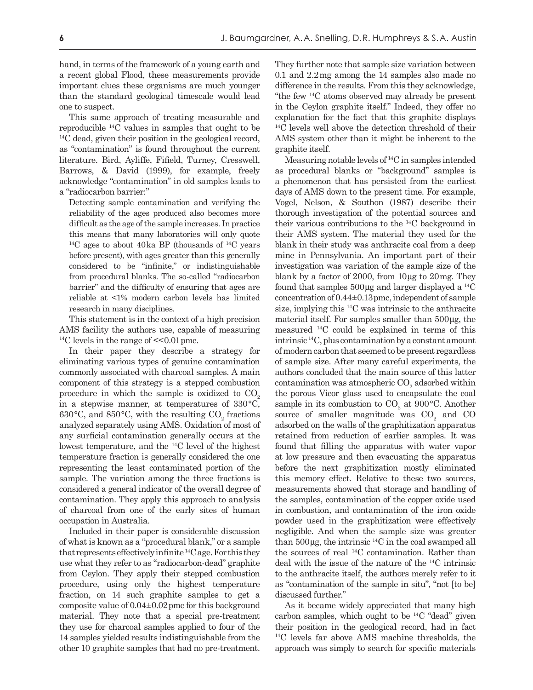hand, in terms of the framework of a young earth and a recent global Flood, these measurements provide important clues these organisms are much younger than the standard geological timescale would lead one to suspect.

This same approach of treating measurable and reproducible 14C values in samples that ought to be 14C dead, given their position in the geological record, as "contamination" is found throughout the current literature. Bird, Ayliffe, Fifield, Turney, Cresswell, Barrows, & David (1999), for example, freely acknowledge "contamination" in old samples leads to a "radiocarbon barrier:"

Detecting sample contamination and verifying the reliability of the ages produced also becomes more difficult as the age of the sample increases. In practice this means that many laboratories will only quote  $14C$  ages to about 40 ka BP (thousands of  $14C$  years before present), with ages greater than this generally considered to be "infinite," or indistinguishable from procedural blanks. The so-called "radiocarbon barrier" and the difficulty of ensuring that ages are reliable at <1% modern carbon levels has limited research in many disciplines.

This statement is in the context of a high precision AMS facility the authors use, capable of measuring  $^{14}$ C levels in the range of  $\leq 0.01$  pmc.

In their paper they describe a strategy for eliminating various types of genuine contamination commonly associated with charcoal samples. A main component of this strategy is a stepped combustion procedure in which the sample is oxidized to  $CO<sub>o</sub>$ in a stepwise manner, at temperatures of  $330^{\circ}$ C, 630°C, and 850°C, with the resulting  $CO<sub>2</sub>$  fractions analyzed separately using AMS. Oxidation of most of any surficial contamination generally occurs at the lowest temperature, and the 14C level of the highest temperature fraction is generally considered the one representing the least contaminated portion of the sample. The variation among the three fractions is considered a general indicator of the overall degree of contamination. They apply this approach to analysis of charcoal from one of the early sites of human occupation in Australia.

Included in their paper is considerable discussion of what is known as a "procedural blank," or a sample that represents effectively infinite 14C age. For this they use what they refer to as "radiocarbon-dead" graphite from Ceylon. They apply their stepped combustion procedure, using only the highest temperature fraction, on 14 such graphite samples to get a composite value of 0.04±0.02 pmc for this background material. They note that a special pre-treatment they use for charcoal samples applied to four of the 14 samples yielded results indistinguishable from the other 10 graphite samples that had no pre-treatment.

They further note that sample size variation between 0.1 and 2.2 mg among the 14 samples also made no difference in the results. From this they acknowledge, "the few 14C atoms observed may already be present in the Ceylon graphite itself." Indeed, they offer no explanation for the fact that this graphite displays 14C levels well above the detection threshold of their AMS system other than it might be inherent to the graphite itself.

Measuring notable levels of 14C in samples intended as procedural blanks or "background" samples is a phenomenon that has persisted from the earliest days of AMS down to the present time. For example, Vogel, Nelson, & Southon (1987) describe their thorough investigation of the potential sources and their various contributions to the 14C background in their AMS system. The material they used for the blank in their study was anthracite coal from a deep mine in Pennsylvania. An important part of their investigation was variation of the sample size of the blank by a factor of 2000, from  $10 \mu$ g to  $20 \text{ mg}$ . They found that samples  $500 \mu$ g and larger displayed a <sup>14</sup>C concentration of 0.44±0.13 pmc, independent of sample size, implying this  ${}^{14}$ C was intrinsic to the anthracite material itself. For samples smaller than 500 µg, the measured 14C could be explained in terms of this intrinsic 14C, plus contamination by a constant amount of modern carbon that seemed to be present regardless of sample size. After many careful experiments, the authors concluded that the main source of this latter contamination was atmospheric  $\mathrm{CO}_2$  adsorbed within the porous Vicor glass used to encapsulate the coal sample in its combustion to  $CO<sub>2</sub>$  at 900°C. Another source of smaller magnitude was  $CO<sub>2</sub>$  and  $CO<sub>1</sub>$ adsorbed on the walls of the graphitization apparatus retained from reduction of earlier samples. It was found that filling the apparatus with water vapor at low pressure and then evacuating the apparatus before the next graphitization mostly eliminated this memory effect. Relative to these two sources, measurements showed that storage and handling of the samples, contamination of the copper oxide used in combustion, and contamination of the iron oxide powder used in the graphitization were effectively negligible. And when the sample size was greater than  $500 \mu g$ , the intrinsic  $^{14}$ C in the coal swamped all the sources of real 14C contamination. Rather than deal with the issue of the nature of the 14C intrinsic to the anthracite itself, the authors merely refer to it as "contamination of the sample in situ", "not [to be] discussed further."

As it became widely appreciated that many high carbon samples, which ought to be  ${}^{14}C$  "dead" given their position in the geological record, had in fact 14C levels far above AMS machine thresholds, the approach was simply to search for specific materials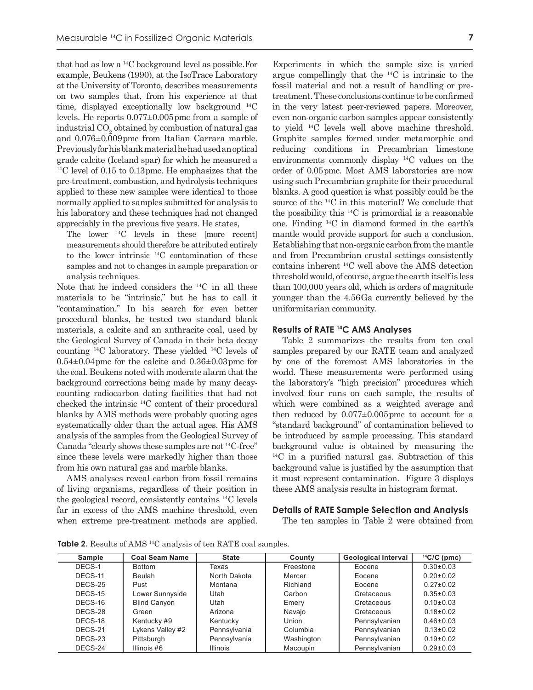that had as low a 14C background level as possible.For example, Beukens (1990), at the IsoTrace Laboratory at the University of Toronto, describes measurements on two samples that, from his experience at that time, displayed exceptionally low background 14C levels. He reports 0.077±0.005 pmc from a sample of industrial  $\mathrm{CO}_2$  obtained by combustion of natural gas and 0.076±0.009 pmc from Italian Carrara marble. Previously for his blank material he had used an optical grade calcite (Iceland spar) for which he measured a 14C level of 0.15 to 0.13 pmc. He emphasizes that the pre-treatment, combustion, and hydrolysis techniques applied to these new samples were identical to those normally applied to samples submitted for analysis to his laboratory and these techniques had not changed appreciably in the previous five years. He states,

The lower 14C levels in these [more recent] measurements should therefore be attributed entirely to the lower intrinsic  $^{14}$ C contamination of these samples and not to changes in sample preparation or analysis techniques.

Note that he indeed considers the 14C in all these materials to be "intrinsic," but he has to call it "contamination." In his search for even better procedural blanks, he tested two standard blank materials, a calcite and an anthracite coal, used by the Geological Survey of Canada in their beta decay counting 14C laboratory. These yielded 14C levels of  $0.54\pm0.04$  pmc for the calcite and  $0.36\pm0.03$  pmc for the coal. Beukens noted with moderate alarm that the background corrections being made by many decaycounting radiocarbon dating facilities that had not checked the intrinsic 14C content of their procedural blanks by AMS methods were probably quoting ages systematically older than the actual ages. His AMS analysis of the samples from the Geological Survey of Canada "clearly shows these samples are not 14C-free" since these levels were markedly higher than those from his own natural gas and marble blanks.

AMS analyses reveal carbon from fossil remains of living organisms, regardless of their position in the geological record, consistently contains 14C levels far in excess of the AMS machine threshold, even when extreme pre-treatment methods are applied. Experiments in which the sample size is varied argue compellingly that the 14C is intrinsic to the fossil material and not a result of handling or pretreatment. These conclusions continue to be confirmed in the very latest peer-reviewed papers. Moreover, even non-organic carbon samples appear consistently to yield 14C levels well above machine threshold. Graphite samples formed under metamorphic and reducing conditions in Precambrian limestone environments commonly display 14C values on the order of 0.05 pmc. Most AMS laboratories are now using such Precambrian graphite for their procedural blanks. A good question is what possibly could be the source of the 14C in this material? We conclude that the possibility this  $^{14}$ C is primordial is a reasonable one. Finding 14C in diamond formed in the earth's mantle would provide support for such a conclusion. Establishing that non-organic carbon from the mantle and from Precambrian crustal settings consistently contains inherent 14C well above the AMS detection threshold would, of course, argue the earth itself is less than 100,000 years old, which is orders of magnitude younger than the 4.56 Ga currently believed by the uniformitarian community.

## **Results of RATE 14C AMS Analyses**

Table 2 summarizes the results from ten coal samples prepared by our RATE team and analyzed by one of the foremost AMS laboratories in the world. These measurements were performed using the laboratory's "high precision" procedures which involved four runs on each sample, the results of which were combined as a weighted average and then reduced by  $0.077 \pm 0.005$  pmc to account for a "standard background" of contamination believed to be introduced by sample processing. This standard background value is obtained by measuring the 14C in a purified natural gas. Subtraction of this background value is justified by the assumption that it must represent contamination. Figure 3 displays these AMS analysis results in histogram format.

#### **Details of RATE Sample Selection and Analysis**

The ten samples in Table 2 were obtained from

| Sample  | <b>Coal Seam Name</b> | <b>State</b>    | County     | <b>Geological Interval</b> | $14$ C/C (pmc)  |
|---------|-----------------------|-----------------|------------|----------------------------|-----------------|
| DECS-1  | <b>Bottom</b>         | Texas           | Freestone  | Eocene                     | $0.30\pm0.03$   |
| DECS-11 | <b>Beulah</b>         | North Dakota    | Mercer     | Eocene                     | $0.20 \pm 0.02$ |
| DECS-25 | Pust                  | Montana         | Richland   | Eocene                     | $0.27 \pm 0.02$ |
| DECS-15 | Lower Sunnyside       | Utah            | Carbon     | Cretaceous                 | $0.35 \pm 0.03$ |
| DECS-16 | <b>Blind Canyon</b>   | Utah            | Emery      | Cretaceous                 | $0.10\pm0.03$   |
| DECS-28 | Green                 | Arizona         | Navajo     | Cretaceous                 | $0.18 + 0.02$   |
| DECS-18 | Kentucky #9           | Kentucky        | Union      | Pennsylvanian              | $0.46\pm0.03$   |
| DECS-21 | Lykens Valley #2      | Pennsylvania    | Columbia   | Pennsylvanian              | $0.13 \pm 0.02$ |
| DECS-23 | Pittsburgh            | Pennsylvania    | Washington | Pennsylvanian              | $0.19 \pm 0.02$ |
| DECS-24 | Illinois #6           | <b>Illinois</b> | Macoupin   | Pennsylvanian              | $0.29 \pm 0.03$ |

**Table 2.** Results of AMS 14C analysis of ten RATE coal samples.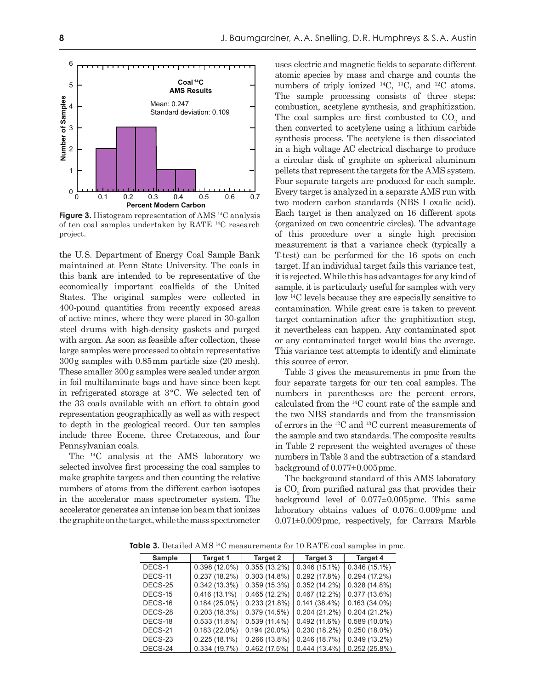

**Figure 3.** Histogram representation of AMS 14C analysis of ten coal samples undertaken by RATE 14C research project.

the U. S. Department of Energy Coal Sample Bank maintained at Penn State University. The coals in this bank are intended to be representative of the economically important coalfields of the United States. The original samples were collected in 400-pound quantities from recently exposed areas of active mines, where they were placed in 30-gallon steel drums with high-density gaskets and purged with argon. As soon as feasible after collection, these large samples were processed to obtain representative 300 g samples with 0.85 mm particle size (20 mesh). These smaller 300 g samples were sealed under argon in foil multilaminate bags and have since been kept in refrigerated storage at  $3^{\circ}$ C. We selected ten of the 33 coals available with an effort to obtain good representation geographically as well as with respect to depth in the geological record. Our ten samples include three Eocene, three Cretaceous, and four Pennsylvanian coals.

The 14C analysis at the AMS laboratory we selected involves first processing the coal samples to make graphite targets and then counting the relative numbers of atoms from the different carbon isotopes in the accelerator mass spectrometer system. The accelerator generates an intense ion beam that ionizes the graphite on the target, while the mass spectrometer

uses electric and magnetic fields to separate different atomic species by mass and charge and counts the numbers of triply ionized 14C, 13C, and 12C atoms. The sample processing consists of three steps: combustion, acetylene synthesis, and graphitization. The coal samples are first combusted to  $CO<sub>2</sub>$  and then converted to acetylene using a lithium carbide synthesis process. The acetylene is then dissociated in a high voltage AC electrical discharge to produce a circular disk of graphite on spherical aluminum pellets that represent the targets for the AMS system. Four separate targets are produced for each sample. Every target is analyzed in a separate AMS run with two modern carbon standards (NBS I oxalic acid). Each target is then analyzed on 16 different spots (organized on two concentric circles). The advantage of this procedure over a single high precision measurement is that a variance check (typically a T-test) can be performed for the 16 spots on each target. If an individual target fails this variance test, it is rejected. While this has advantages for any kind of sample, it is particularly useful for samples with very low 14C levels because they are especially sensitive to contamination. While great care is taken to prevent target contamination after the graphitization step, it nevertheless can happen. Any contaminated spot or any contaminated target would bias the average. This variance test attempts to identify and eliminate this source of error.

Table 3 gives the measurements in pmc from the four separate targets for our ten coal samples. The numbers in parentheses are the percent errors, calculated from the 14C count rate of the sample and the two NBS standards and from the transmission of errors in the 12C and 13C current measurements of the sample and two standards. The composite results in Table 2 represent the weighted averages of these numbers in Table 3 and the subtraction of a standard background of 0.077±0.005 pmc.

The background standard of this AMS laboratory is  $\text{CO}_2$  from purified natural gas that provides their background level of 0.077±0.005 pmc. This same laboratory obtains values of 0.076±0.009 pmc and 0.071±0.009 pmc, respectively, for Carrara Marble

**Table 3.** Detailed AMS <sup>14</sup>C measurements for 10 RATE coal samples in pmc.

| Sample  | <b>Target 1</b> | Target 2        | Target 3        | <b>Target 4</b> |  |  |
|---------|-----------------|-----------------|-----------------|-----------------|--|--|
| DECS-1  | $0.398(12.0\%)$ | $0.355(13.2\%)$ | $0.346(15.1\%)$ | $0.346(15.1\%)$ |  |  |
| DECS-11 | 0.237(18.2%)    | 0.303(14.8%)    | 0.292(17.8%)    | 0.294(17.2%)    |  |  |
| DECS-25 | 0.342(13.3%)    | 0.359(15.3%)    | $0.352(14.2\%)$ | 0.328(14.8%)    |  |  |
| DECS-15 | $0.416(13.1\%)$ | 0.465(12.2%)    | 0.467(12.2%)    | 0.377(13.6%)    |  |  |
| DECS-16 | $0.184(25.0\%)$ | 0.233(21.8%)    | 0.141(38.4%)    | $0.163(34.0\%)$ |  |  |
| DECS-28 | 0.203(18.3%)    | 0.379(14.5%)    | $0.204(21.2\%)$ | $0.204(21.2\%)$ |  |  |
| DECS-18 | 0.533(11.8%)    | 0.539(11.4%)    | 0.492(11.6%)    | $0.589(10.0\%)$ |  |  |
| DECS-21 | $0.183(22.0\%)$ | $0.194(20.0\%)$ | 0.230(18.2%)    | $0.250(18.0\%)$ |  |  |
| DECS-23 | 0.225(18.1%)    | 0.266(13.8%)    | 0.246(18.7%)    | $0.349(13.2\%)$ |  |  |
| DECS-24 | 0.334(19.7%)    | 0.462(17.5%)    | 0.444(13.4%)    | 0.252(25.8%)    |  |  |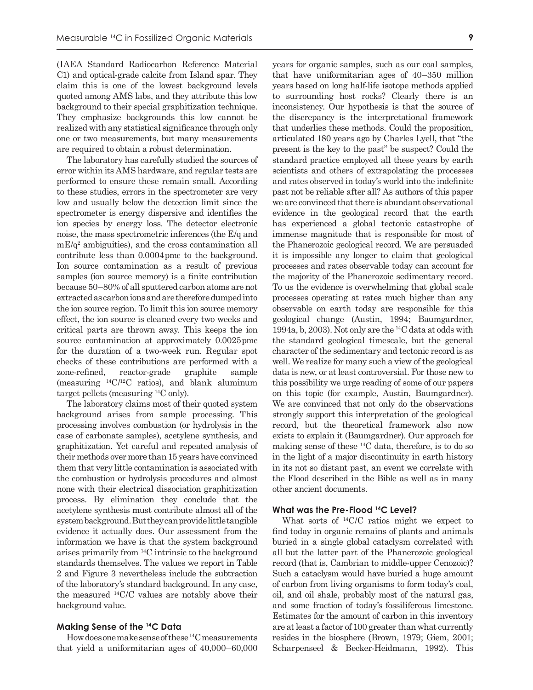(IAEA Standard Radiocarbon Reference Material C1) and optical-grade calcite from Island spar. They claim this is one of the lowest background levels quoted among AMS labs, and they attribute this low background to their special graphitization technique. They emphasize backgrounds this low cannot be realized with any statistical significance through only one or two measurements, but many measurements are required to obtain a robust determination.

The laboratory has carefully studied the sources of error within its AMS hardware, and regular tests are performed to ensure these remain small. According to these studies, errors in the spectrometer are very low and usually below the detection limit since the spectrometer is energy dispersive and identifies the ion species by energy loss. The detector electronic noise, the mass spectrometric inferences (the E/q and  $mE/q<sup>2</sup>$  ambiguities), and the cross contamination all contribute less than 0.0004 pmc to the background. Ion source contamination as a result of previous samples (ion source memory) is a finite contribution because 50–80% of all sputtered carbon atoms are not extracted as carbon ions and are therefore dumped into the ion source region. To limit this ion source memory effect, the ion source is cleaned every two weeks and critical parts are thrown away. This keeps the ion source contamination at approximately 0.0025 pmc for the duration of a two-week run. Regular spot checks of these contributions are performed with a zone-refined, reactor-grade graphite sample (measuring  $^{14}$ C/<sup>12</sup>C ratios), and blank aluminum target pellets (measuring 14C only).

The laboratory claims most of their quoted system background arises from sample processing. This processing involves combustion (or hydrolysis in the case of carbonate samples), acetylene synthesis, and graphitization. Yet careful and repeated analysis of their methods over more than 15 years have convinced them that very little contamination is associated with the combustion or hydrolysis procedures and almost none with their electrical dissociation graphitization process. By elimination they conclude that the acetylene synthesis must contribute almost all of the system background. But they can provide little tangible evidence it actually does. Our assessment from the information we have is that the system background arises primarily from 14C intrinsic to the background standards themselves. The values we report in Table 2 and Figure 3 nevertheless include the subtraction of the laboratory's standard background. In any case, the measured 14C/C values are notably above their background value.

# **Making Sense of the 14C Data**

How does one make sense of these 14C measurements that yield a uniformitarian ages of 40,000–60,000 years for organic samples, such as our coal samples, that have uniformitarian ages of 40–350 million years based on long half-life isotope methods applied to surrounding host rocks? Clearly there is an inconsistency. Our hypothesis is that the source of the discrepancy is the interpretational framework that underlies these methods. Could the proposition, articulated 180 years ago by Charles Lyell, that "the present is the key to the past" be suspect? Could the standard practice employed all these years by earth scientists and others of extrapolating the processes and rates observed in today's world into the indefinite past not be reliable after all? As authors of this paper we are convinced that there is abundant observational evidence in the geological record that the earth has experienced a global tectonic catastrophe of immense magnitude that is responsible for most of the Phanerozoic geological record. We are persuaded it is impossible any longer to claim that geological processes and rates observable today can account for the majority of the Phanerozoic sedimentary record. To us the evidence is overwhelming that global scale processes operating at rates much higher than any observable on earth today are responsible for this geological change (Austin, 1994; Baumgardner, 1994a, b, 2003). Not only are the 14C data at odds with the standard geological timescale, but the general character of the sedimentary and tectonic record is as well. We realize for many such a view of the geological data is new, or at least controversial. For those new to this possibility we urge reading of some of our papers on this topic (for example, Austin, Baumgardner). We are convinced that not only do the observations strongly support this interpretation of the geological record, but the theoretical framework also now exists to explain it (Baumgardner). Our approach for making sense of these 14C data, therefore, is to do so in the light of a major discontinuity in earth history in its not so distant past, an event we correlate with the Flood described in the Bible as well as in many other ancient documents.

# **What was the Pre-Flood 14C Level?**

What sorts of 14C/C ratios might we expect to find today in organic remains of plants and animals buried in a single global cataclysm correlated with all but the latter part of the Phanerozoic geological record (that is, Cambrian to middle-upper Cenozoic)? Such a cataclysm would have buried a huge amount of carbon from living organisms to form today's coal, oil, and oil shale, probably most of the natural gas, and some fraction of today's fossiliferous limestone. Estimates for the amount of carbon in this inventory are at least a factor of 100 greater than what currently resides in the biosphere (Brown, 1979; Giem, 2001; Scharpenseel & Becker-Heidmann, 1992). This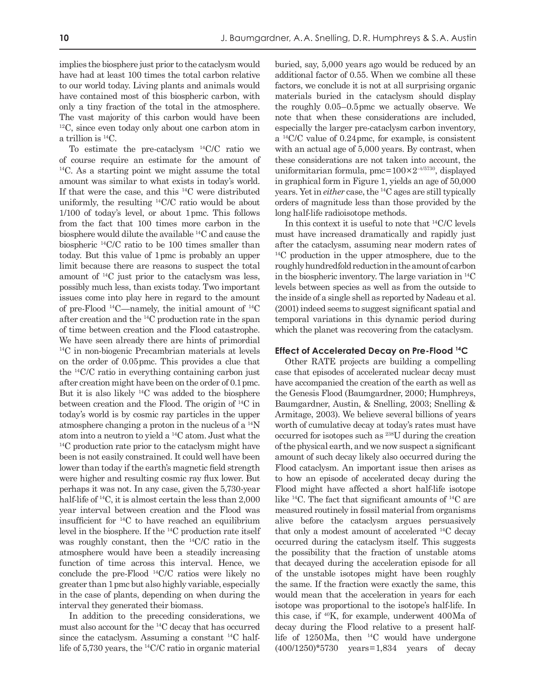implies the biosphere just prior to the cataclysm would have had at least 100 times the total carbon relative to our world today. Living plants and animals would have contained most of this biospheric carbon, with only a tiny fraction of the total in the atmosphere. The vast majority of this carbon would have been  $12^{\circ}$ C, since even today only about one carbon atom in a trillion is 14C.

To estimate the pre-cataclysm 14C/C ratio we of course require an estimate for the amount of <sup>14</sup>C. As a starting point we might assume the total amount was similar to what exists in today's world. If that were the case, and this 14C were distributed uniformly, the resulting 14C/C ratio would be about 1/100 of today's level, or about 1 pmc. This follows from the fact that 100 times more carbon in the biosphere would dilute the available 14C and cause the biospheric 14C/C ratio to be 100 times smaller than today. But this value of 1 pmc is probably an upper limit because there are reasons to suspect the total amount of 14C just prior to the cataclysm was less, possibly much less, than exists today. Two important issues come into play here in regard to the amount of pre-Flood  $^{14}$ C—namely, the initial amount of  $^{14}$ C after creation and the 14C production rate in the span of time between creation and the Flood catastrophe. We have seen already there are hints of primordial 14C in non-biogenic Precambrian materials at levels on the order of 0.05 pmc. This provides a clue that the 14C/C ratio in everything containing carbon just after creation might have been on the order of 0.1 pmc. But it is also likely 14C was added to the biosphere between creation and the Flood. The origin of 14C in today's world is by cosmic ray particles in the upper atmosphere changing a proton in the nucleus of a 14N atom into a neutron to yield a  ${}^{14}$ C atom. Just what the  ${}^{14}$ C production rate prior to the cataclysm might have been is not easily constrained. It could well have been lower than today if the earth's magnetic field strength were higher and resulting cosmic ray flux lower. But perhaps it was not. In any case, given the 5,730-year half-life of <sup>14</sup>C, it is almost certain the less than 2,000 year interval between creation and the Flood was insufficient for 14C to have reached an equilibrium level in the biosphere. If the 14C production rate itself was roughly constant, then the 14C/C ratio in the atmosphere would have been a steadily increasing function of time across this interval. Hence, we conclude the pre-Flood 14C/C ratios were likely no greater than 1 pmc but also highly variable, especially in the case of plants, depending on when during the interval they generated their biomass.

In addition to the preceding considerations, we must also account for the 14C decay that has occurred since the cataclysm. Assuming a constant 14C halflife of 5,730 years, the 14C/C ratio in organic material buried, say, 5,000 years ago would be reduced by an additional factor of 0.55. When we combine all these factors, we conclude it is not at all surprising organic materials buried in the cataclysm should display the roughly 0.05–0.5 pmc we actually observe. We note that when these considerations are included, especially the larger pre-cataclysm carbon inventory, a 14C/C value of 0.24 pmc, for example, is consistent with an actual age of 5,000 years. By contrast, when these considerations are not taken into account, the uniformitarian formula,  $pmc = 100 \times 2^{-t/5730}$ , displayed in graphical form in Figure 1, yields an age of 50,000 years. Yet in *either* case, the 14C ages are still typically orders of magnitude less than those provided by the long half-life radioisotope methods.

In this context it is useful to note that 14C/C levels must have increased dramatically and rapidly just after the cataclysm, assuming near modern rates of <sup>14</sup>C production in the upper atmosphere, due to the roughly hundredfold reduction in the amount of carbon in the biospheric inventory. The large variation in 14C levels between species as well as from the outside to the inside of a single shell as reported by Nadeau et al. (2001) indeed seems to suggest significant spatial and temporal variations in this dynamic period during which the planet was recovering from the cataclysm.

### **Effect of Accelerated Decay on Pre-Flood 14C**

Other RATE projects are building a compelling case that episodes of accelerated nuclear decay must have accompanied the creation of the earth as well as the Genesis Flood (Baumgardner, 2000; Humphreys, Baumgardner, Austin, & Snelling, 2003; Snelling & Armitage, 2003). We believe several billions of years worth of cumulative decay at today's rates must have occurred for isotopes such as 238U during the creation of the physical earth, and we now suspect a significant amount of such decay likely also occurred during the Flood cataclysm. An important issue then arises as to how an episode of accelerated decay during the Flood might have affected a short half-life isotope like 14C. The fact that significant amounts of 14C are measured routinely in fossil material from organisms alive before the cataclysm argues persuasively that only a modest amount of accelerated 14C decay occurred during the cataclysm itself. This suggests the possibility that the fraction of unstable atoms that decayed during the acceleration episode for all of the unstable isotopes might have been roughly the same. If the fraction were exactly the same, this would mean that the acceleration in years for each isotope was proportional to the isotope's half-life. In this case, if  $40K$ , for example, underwent  $400Ma$  of decay during the Flood relative to a present halflife of  $1250$ Ma, then  $^{14}$ C would have undergone (400/1250)\*5730 years = 1,834 years of decay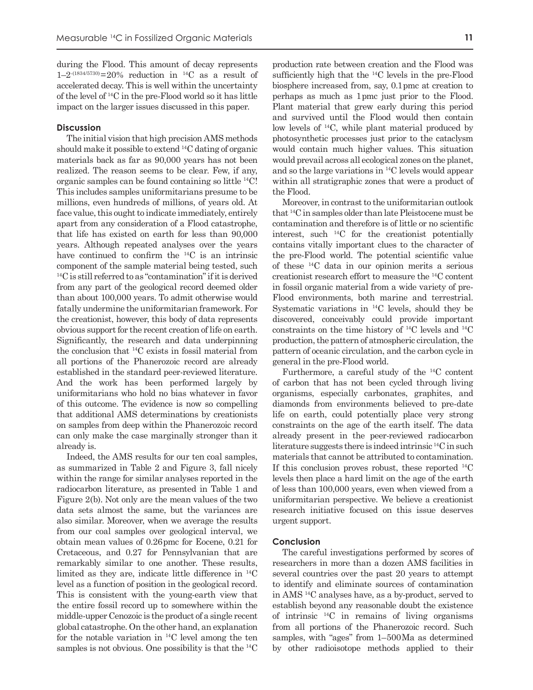during the Flood. This amount of decay represents  $1-2^{-(1834/5730)} = 20\%$  reduction in <sup>14</sup>C as a result of accelerated decay. This is well within the uncertainty of the level of 14C in the pre-Flood world so it has little impact on the larger issues discussed in this paper.

## **Discussion**

The initial vision that high precision AMS methods should make it possible to extend 14C dating of organic materials back as far as 90,000 years has not been realized. The reason seems to be clear. Few, if any, organic samples can be found containing so little 14C! This includes samples uniformitarians presume to be millions, even hundreds of millions, of years old. At face value, this ought to indicate immediately, entirely apart from any consideration of a Flood catastrophe, that life has existed on earth for less than 90,000 years. Although repeated analyses over the years have continued to confirm the <sup>14</sup>C is an intrinsic component of the sample material being tested, such <sup>14</sup>C is still referred to as "contamination" if it is derived from any part of the geological record deemed older than about 100,000 years. To admit otherwise would fatally undermine the uniformitarian framework. For the creationist, however, this body of data represents obvious support for the recent creation of life on earth. Significantly, the research and data underpinning the conclusion that 14C exists in fossil material from all portions of the Phanerozoic record are already established in the standard peer-reviewed literature. And the work has been performed largely by uniformitarians who hold no bias whatever in favor of this outcome. The evidence is now so compelling that additional AMS determinations by creationists on samples from deep within the Phanerozoic record can only make the case marginally stronger than it already is.

Indeed, the AMS results for our ten coal samples, as summarized in Table 2 and Figure 3, fall nicely within the range for similar analyses reported in the radiocarbon literature, as presented in Table 1 and Figure 2(b). Not only are the mean values of the two data sets almost the same, but the variances are also similar. Moreover, when we average the results from our coal samples over geological interval, we obtain mean values of 0.26 pmc for Eocene, 0.21 for Cretaceous, and 0.27 for Pennsylvanian that are remarkably similar to one another. These results, limited as they are, indicate little difference in 14C level as a function of position in the geological record. This is consistent with the young-earth view that the entire fossil record up to somewhere within the middle-upper Cenozoic is the product of a single recent global catastrophe. On the other hand, an explanation for the notable variation in 14C level among the ten samples is not obvious. One possibility is that the <sup>14</sup>C production rate between creation and the Flood was sufficiently high that the 14C levels in the pre-Flood biosphere increased from, say, 0.1 pmc at creation to perhaps as much as 1 pmc just prior to the Flood. Plant material that grew early during this period and survived until the Flood would then contain low levels of 14C, while plant material produced by photosynthetic processes just prior to the cataclysm would contain much higher values. This situation would prevail across all ecological zones on the planet, and so the large variations in 14C levels would appear within all stratigraphic zones that were a product of the Flood.

Moreover, in contrast to the uniformitarian outlook that 14C in samples older than late Pleistocene must be contamination and therefore is of little or no scientific interest, such 14C for the creationist potentially contains vitally important clues to the character of the pre-Flood world. The potential scientific value of these 14C data in our opinion merits a serious creationist research effort to measure the 14C content in fossil organic material from a wide variety of pre-Flood environments, both marine and terrestrial. Systematic variations in 14C levels, should they be discovered, conceivably could provide important constraints on the time history of 14C levels and 14C production, the pattern of atmospheric circulation, the pattern of oceanic circulation, and the carbon cycle in general in the pre-Flood world.

Furthermore, a careful study of the 14C content of carbon that has not been cycled through living organisms, especially carbonates, graphites, and diamonds from environments believed to pre-date life on earth, could potentially place very strong constraints on the age of the earth itself. The data already present in the peer-reviewed radiocarbon literature suggests there is indeed intrinsic 14C in such materials that cannot be attributed to contamination. If this conclusion proves robust, these reported 14C levels then place a hard limit on the age of the earth of less than 100,000 years, even when viewed from a uniformitarian perspective. We believe a creationist research initiative focused on this issue deserves urgent support.

#### **Conclusion**

The careful investigations performed by scores of researchers in more than a dozen AMS facilities in several countries over the past 20 years to attempt to identify and eliminate sources of contamination in AMS 14C analyses have, as a by-product, served to establish beyond any reasonable doubt the existence of intrinsic 14C in remains of living organisms from all portions of the Phanerozoic record. Such samples, with "ages" from 1–500 Ma as determined by other radioisotope methods applied to their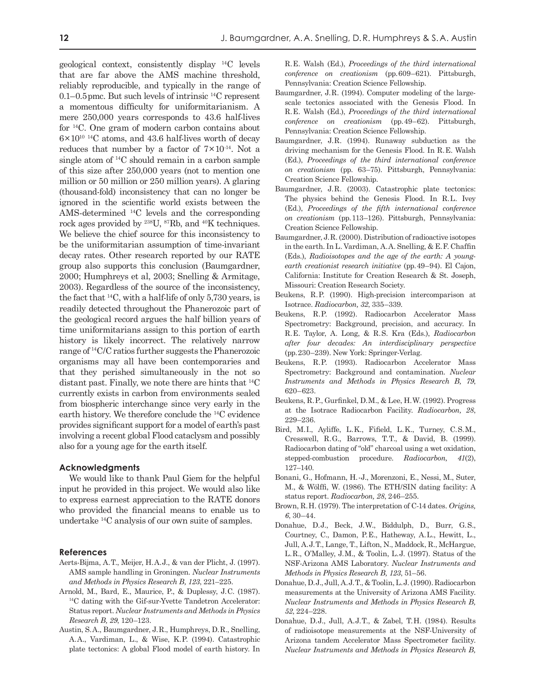geological context, consistently display 14C levels that are far above the AMS machine threshold, reliably reproducible, and typically in the range of  $0.1-0.5$  pmc. But such levels of intrinsic  $^{14}$ C represent a momentous difficulty for uniformitarianism. A mere 250,000 years corresponds to 43.6 half-lives for 14C. One gram of modern carbon contains about  $6 \times 10^{10}$  <sup>14</sup>C atoms, and 43.6 half-lives worth of decay reduces that number by a factor of  $7 \times 10^{-14}$ . Not a single atom of 14C should remain in a carbon sample of this size after 250,000 years (not to mention one million or 50 million or 250 million years). A glaring (thousand-fold) inconsistency that can no longer be ignored in the scientific world exists between the AMS-determined 14C levels and the corresponding rock ages provided by 238U, 87Rb, and 40K techniques. We believe the chief source for this inconsistency to be the uniformitarian assumption of time-invariant decay rates. Other research reported by our RATE group also supports this conclusion (Baumgardner, 2000; Humphreys et al, 2003; Snelling & Armitage, 2003). Regardless of the source of the inconsistency, the fact that 14C, with a half-life of only 5,730 years, is readily detected throughout the Phanerozoic part of the geological record argues the half billion years of time uniformitarians assign to this portion of earth history is likely incorrect. The relatively narrow range of 14C/C ratios further suggests the Phanerozoic organisms may all have been contemporaries and that they perished simultaneously in the not so distant past. Finally, we note there are hints that 14C currently exists in carbon from environments sealed from biospheric interchange since very early in the earth history. We therefore conclude the 14C evidence provides significant support for a model of earth's past involving a recent global Flood cataclysm and possibly also for a young age for the earth itself.

### **Acknowledgments**

We would like to thank Paul Giem for the helpful input he provided in this project. We would also like to express earnest appreciation to the RATE donors who provided the financial means to enable us to undertake 14C analysis of our own suite of samples.

#### **References**

- Aerts-Bijma, A. T., Meijer, H. A. J., & van der Plicht, J. (1997). AMS sample handling in Groningen. *Nuclear Instruments and Methods in Physics Research B, 123*, 221–225.
- Arnold, M., Bard, E., Maurice, P., & Duplessy, J.C. (1987).<br><sup>14</sup>C dating with the Gif-sur-Yvette Tandetron Accelerator: Status report. *Nuclear Instruments and Methods in Physics Research B, 29*, 120–123.
- Austin, S. A., Baumgardner, J. R., Humphreys, D. R., Snelling, A. A., Vardiman, L., & Wise, K. P. (1994). Catastrophic plate tectonics: A global Flood model of earth history. In

R. E. Walsh (Ed.), *Proceedings of the third international conference on creationism* (pp. 609–621). Pittsburgh, Pennsylvania: Creation Science Fellowship.

- Baumgardner, J.R. (1994). Computer modeling of the largescale tectonics associated with the Genesis Flood. In R. E. Walsh (Ed.), *Proceedings of the third international conference on creationism* (pp. 49–62). Pittsburgh, Pennsylvania: Creation Science Fellowship.
- Baumgardner, J.R. (1994). Runaway subduction as the driving mechanism for the Genesis Flood. In R. E. Walsh (Ed.), *Proceedings of the third international conference on creationism* (pp. 63–75). Pittsburgh, Pennsylvania: Creation Science Fellowship.
- Baumgardner, J.R. (2003). Catastrophic plate tectonics: The physics behind the Genesis Flood. In R.L. Ivey (Ed.), *Proceedings of the fifth international conference on creationism* (pp. 113–126). Pittsburgh, Pennsylvania: Creation Science Fellowship.
- Baumgardner, J. R. (2000). Distribution of radioactive isotopes in the earth. In L. Vardiman, A. A. Snelling, & E. F. Chaffin (Eds.), *Radioisotopes and the age of the earth: A youngearth creationist research initiative* (pp. 49–94). El Cajon, California: Institute for Creation Research & St. Joseph, Missouri: Creation Research Society.
- Beukens, R.P. (1990). High-precision intercomparison at Isotrace. *Radiocarbon, 32*, 335–339.
- Beukens, R.P. (1992). Radiocarbon Accelerator Mass Spectrometry: Background, precision, and accuracy. In R. E. Taylor, A. Long, & R. S. Kra (Eds.), *Radiocarbon after four decades: An interdisciplinary perspective* (pp. 230–239). New York: Springer-Verlag.
- Beukens, R.P. (1993). Radiocarbon Accelerator Mass Spectrometry: Background and contamination. *Nuclear Instruments and Methods in Physics Research B, 79*, 620–623.
- Beukens, R. P., Gurfinkel, D. M., & Lee, H. W. (1992). Progress at the Isotrace Radiocarbon Facility. *Radiocarbon, 28*, 229–236.
- Bird, M.I., Ayliffe, L.K., Fifield, L.K., Turney, C.S.M., Cresswell, R.G., Barrows, T.T., & David, B. (1999). Radiocarbon dating of "old" charcoal using a wet oxidation, stepped-combustion procedure. *Radiocarbon, 41*(2), 127–140.
- Bonani, G., Hofmann, H. -J., Morenzoni, E., Nessi, M., Suter, M., & Wölffi, W. (1986). The ETH/SIN dating facility: A status report. *Radiocarbon, 28*, 246–255.
- Brown, R. H. (1979). The interpretation of C-14 dates. *Origins, 6*, 30–44.
- Donahue, D.J., Beck, J.W., Biddulph, D., Burr, G.S., Courtney, C., Damon, P.E., Hatheway, A.L., Hewitt, L., Jull, A. J. T., Lange, T., Lifton, N., Maddock, R., McHargue, L. R., O'Malley, J. M., & Toolin, L. J. (1997). Status of the NSF-Arizona AMS Laboratory. *Nuclear Instruments and Methods in Physics Research B, 123*, 51–56.
- Donahue, D. J., Jull, A. J. T., & Toolin, L. J. (1990). Radiocarbon measurements at the University of Arizona AMS Facility. *Nuclear Instruments and Methods in Physics Research B, 52*, 224–228.
- Donahue, D.J., Jull, A.J.T., & Zabel, T.H. (1984). Results of radioisotope measurements at the NSF-University of Arizona tandem Accelerator Mass Spectrometer facility. *Nuclear Instruments and Methods in Physics Research B,*